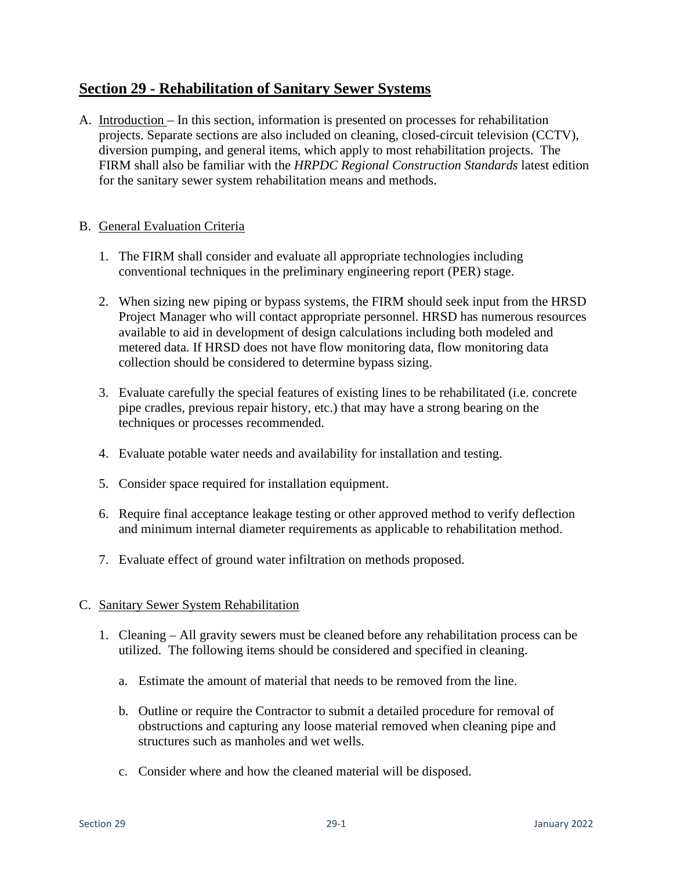## **Section 29 - Rehabilitation of Sanitary Sewer Systems**

A. Introduction – In this section, information is presented on processes for rehabilitation projects. Separate sections are also included on cleaning, closed-circuit television (CCTV), diversion pumping, and general items, which apply to most rehabilitation projects. The FIRM shall also be familiar with the *HRPDC Regional Construction Standards* latest edition for the sanitary sewer system rehabilitation means and methods.

## B. General Evaluation Criteria

- 1. The FIRM shall consider and evaluate all appropriate technologies including conventional techniques in the preliminary engineering report (PER) stage.
- 2. When sizing new piping or bypass systems, the FIRM should seek input from the HRSD Project Manager who will contact appropriate personnel. HRSD has numerous resources available to aid in development of design calculations including both modeled and metered data. If HRSD does not have flow monitoring data, flow monitoring data collection should be considered to determine bypass sizing.
- 3. Evaluate carefully the special features of existing lines to be rehabilitated (i.e. concrete pipe cradles, previous repair history, etc.) that may have a strong bearing on the techniques or processes recommended.
- 4. Evaluate potable water needs and availability for installation and testing.
- 5. Consider space required for installation equipment.
- 6. Require final acceptance leakage testing or other approved method to verify deflection and minimum internal diameter requirements as applicable to rehabilitation method.
- 7. Evaluate effect of ground water infiltration on methods proposed.

## C. Sanitary Sewer System Rehabilitation

- 1. Cleaning All gravity sewers must be cleaned before any rehabilitation process can be utilized. The following items should be considered and specified in cleaning.
	- a. Estimate the amount of material that needs to be removed from the line.
	- b. Outline or require the Contractor to submit a detailed procedure for removal of obstructions and capturing any loose material removed when cleaning pipe and structures such as manholes and wet wells.
	- c. Consider where and how the cleaned material will be disposed.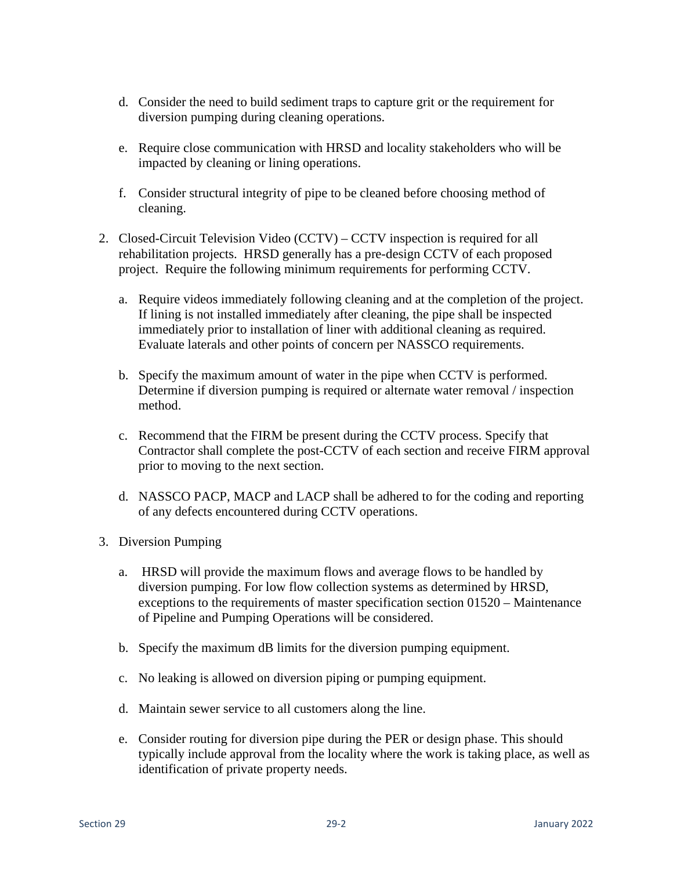- d. Consider the need to build sediment traps to capture grit or the requirement for diversion pumping during cleaning operations.
- e. Require close communication with HRSD and locality stakeholders who will be impacted by cleaning or lining operations.
- f. Consider structural integrity of pipe to be cleaned before choosing method of cleaning.
- 2. Closed-Circuit Television Video (CCTV) CCTV inspection is required for all rehabilitation projects. HRSD generally has a pre-design CCTV of each proposed project. Require the following minimum requirements for performing CCTV.
	- a. Require videos immediately following cleaning and at the completion of the project. If lining is not installed immediately after cleaning, the pipe shall be inspected immediately prior to installation of liner with additional cleaning as required. Evaluate laterals and other points of concern per NASSCO requirements.
	- b. Specify the maximum amount of water in the pipe when CCTV is performed. Determine if diversion pumping is required or alternate water removal / inspection method.
	- c. Recommend that the FIRM be present during the CCTV process. Specify that Contractor shall complete the post-CCTV of each section and receive FIRM approval prior to moving to the next section.
	- d. NASSCO PACP, MACP and LACP shall be adhered to for the coding and reporting of any defects encountered during CCTV operations.
- 3. Diversion Pumping
	- a. HRSD will provide the maximum flows and average flows to be handled by diversion pumping. For low flow collection systems as determined by HRSD, exceptions to the requirements of master specification section 01520 – Maintenance of Pipeline and Pumping Operations will be considered.
	- b. Specify the maximum dB limits for the diversion pumping equipment.
	- c. No leaking is allowed on diversion piping or pumping equipment.
	- d. Maintain sewer service to all customers along the line.
	- e. Consider routing for diversion pipe during the PER or design phase. This should typically include approval from the locality where the work is taking place, as well as identification of private property needs.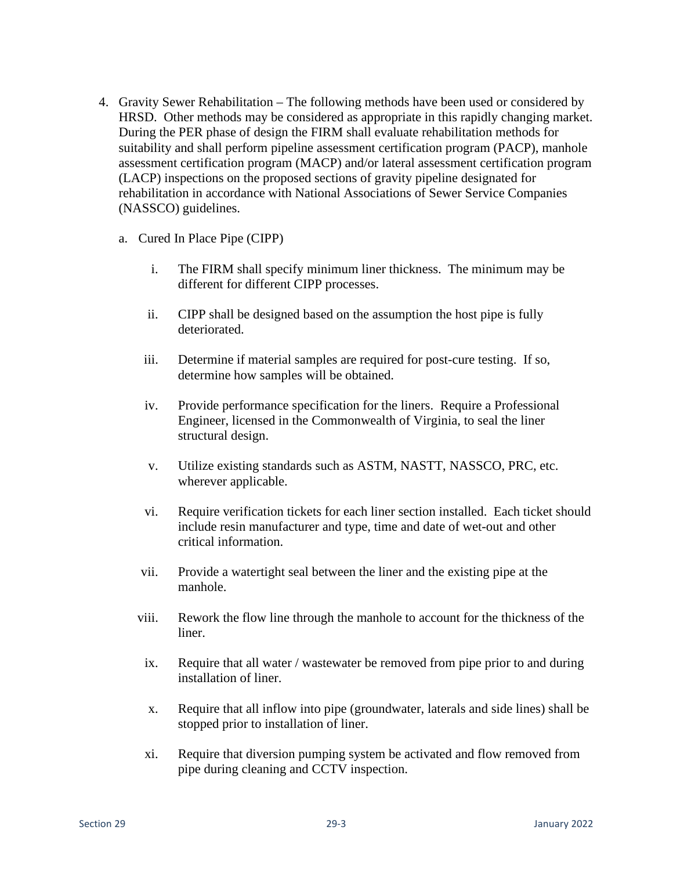- 4. Gravity Sewer Rehabilitation The following methods have been used or considered by HRSD. Other methods may be considered as appropriate in this rapidly changing market. During the PER phase of design the FIRM shall evaluate rehabilitation methods for suitability and shall perform pipeline assessment certification program (PACP), manhole assessment certification program (MACP) and/or lateral assessment certification program (LACP) inspections on the proposed sections of gravity pipeline designated for rehabilitation in accordance with National Associations of Sewer Service Companies (NASSCO) guidelines.
	- a. Cured In Place Pipe (CIPP)
		- i. The FIRM shall specify minimum liner thickness. The minimum may be different for different CIPP processes.
		- ii. CIPP shall be designed based on the assumption the host pipe is fully deteriorated.
		- iii. Determine if material samples are required for post-cure testing. If so, determine how samples will be obtained.
		- iv. Provide performance specification for the liners. Require a Professional Engineer, licensed in the Commonwealth of Virginia, to seal the liner structural design.
		- v. Utilize existing standards such as ASTM, NASTT, NASSCO, PRC, etc. wherever applicable.
		- vi. Require verification tickets for each liner section installed. Each ticket should include resin manufacturer and type, time and date of wet-out and other critical information.
		- vii. Provide a watertight seal between the liner and the existing pipe at the manhole.
		- viii. Rework the flow line through the manhole to account for the thickness of the liner.
		- ix. Require that all water / wastewater be removed from pipe prior to and during installation of liner.
		- x. Require that all inflow into pipe (groundwater, laterals and side lines) shall be stopped prior to installation of liner.
		- xi. Require that diversion pumping system be activated and flow removed from pipe during cleaning and CCTV inspection.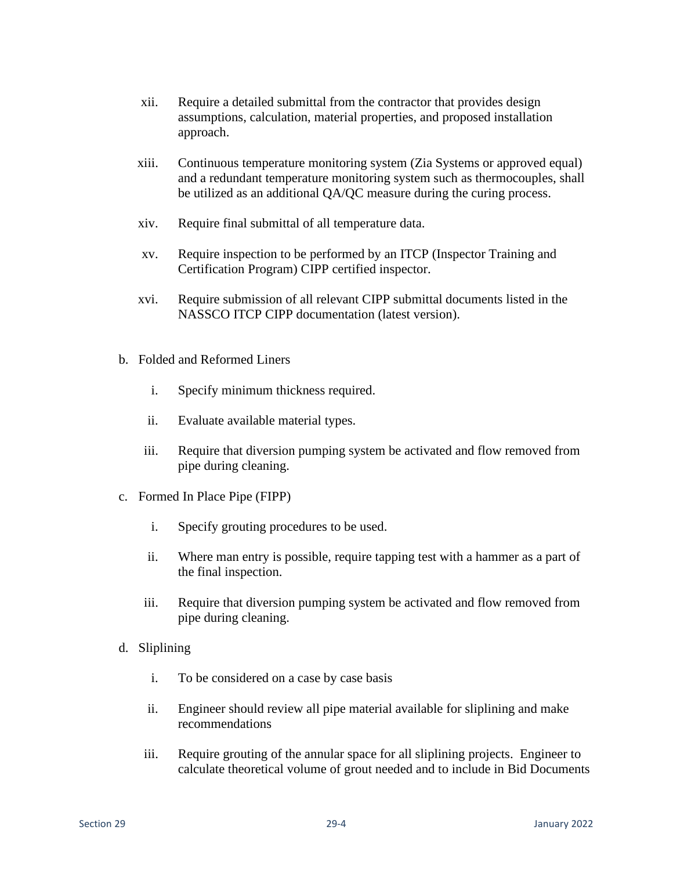- xii. Require a detailed submittal from the contractor that provides design assumptions, calculation, material properties, and proposed installation approach.
- xiii. Continuous temperature monitoring system (Zia Systems or approved equal) and a redundant temperature monitoring system such as thermocouples, shall be utilized as an additional QA/QC measure during the curing process.
- xiv. Require final submittal of all temperature data.
- xv. Require inspection to be performed by an ITCP (Inspector Training and Certification Program) CIPP certified inspector.
- xvi. Require submission of all relevant CIPP submittal documents listed in the NASSCO ITCP CIPP documentation (latest version).
- b. Folded and Reformed Liners
	- i. Specify minimum thickness required.
	- ii. Evaluate available material types.
	- iii. Require that diversion pumping system be activated and flow removed from pipe during cleaning.
- c. Formed In Place Pipe (FIPP)
	- i. Specify grouting procedures to be used.
	- ii. Where man entry is possible, require tapping test with a hammer as a part of the final inspection.
	- iii. Require that diversion pumping system be activated and flow removed from pipe during cleaning.
- d. Sliplining
	- i. To be considered on a case by case basis
	- ii. Engineer should review all pipe material available for sliplining and make recommendations
	- iii. Require grouting of the annular space for all sliplining projects. Engineer to calculate theoretical volume of grout needed and to include in Bid Documents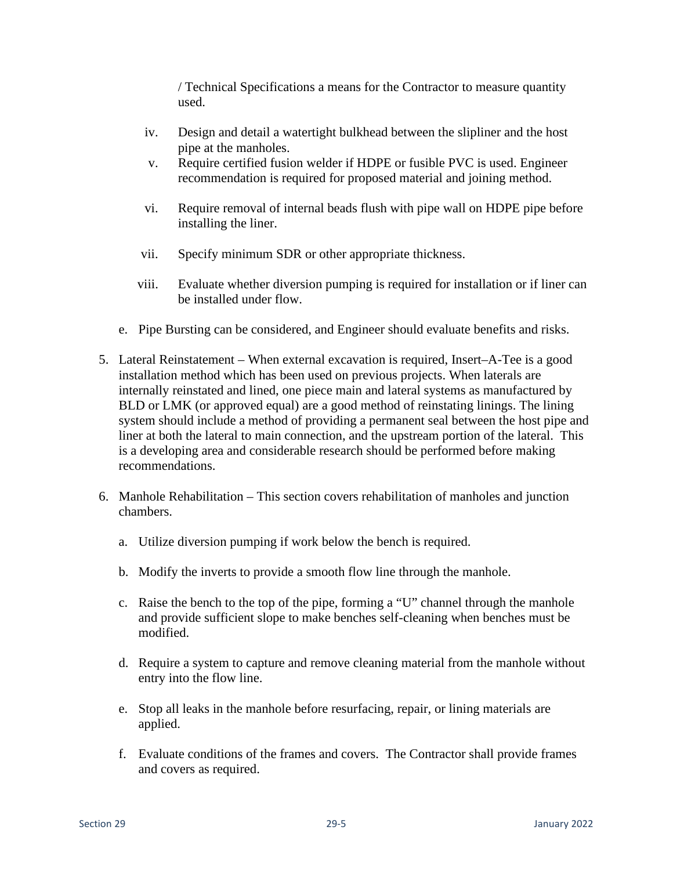/ Technical Specifications a means for the Contractor to measure quantity used.

- iv. Design and detail a watertight bulkhead between the slipliner and the host pipe at the manholes.
- v. Require certified fusion welder if HDPE or fusible PVC is used. Engineer recommendation is required for proposed material and joining method.
- vi. Require removal of internal beads flush with pipe wall on HDPE pipe before installing the liner.
- vii. Specify minimum SDR or other appropriate thickness.
- viii. Evaluate whether diversion pumping is required for installation or if liner can be installed under flow.
- e. Pipe Bursting can be considered, and Engineer should evaluate benefits and risks.
- 5. Lateral Reinstatement When external excavation is required, Insert–A-Tee is a good installation method which has been used on previous projects. When laterals are internally reinstated and lined, one piece main and lateral systems as manufactured by BLD or LMK (or approved equal) are a good method of reinstating linings. The lining system should include a method of providing a permanent seal between the host pipe and liner at both the lateral to main connection, and the upstream portion of the lateral. This is a developing area and considerable research should be performed before making recommendations.
- 6. Manhole Rehabilitation This section covers rehabilitation of manholes and junction chambers.
	- a. Utilize diversion pumping if work below the bench is required.
	- b. Modify the inverts to provide a smooth flow line through the manhole.
	- c. Raise the bench to the top of the pipe, forming a "U" channel through the manhole and provide sufficient slope to make benches self-cleaning when benches must be modified.
	- d. Require a system to capture and remove cleaning material from the manhole without entry into the flow line.
	- e. Stop all leaks in the manhole before resurfacing, repair, or lining materials are applied.
	- f. Evaluate conditions of the frames and covers. The Contractor shall provide frames and covers as required.